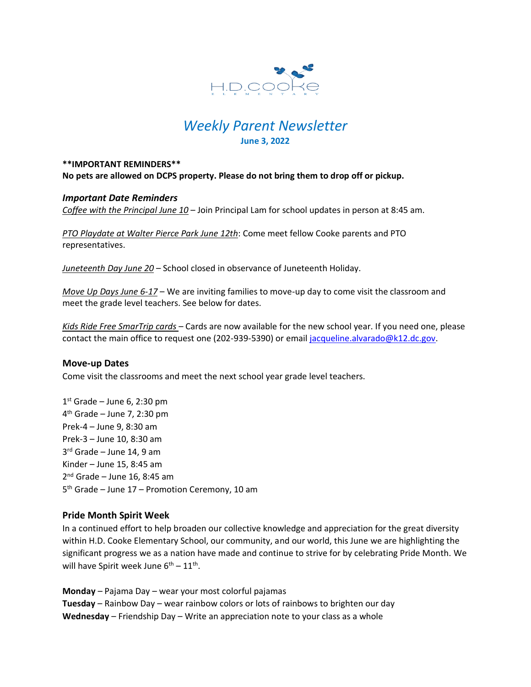

# *Weekly Parent Newsletter* **June 3, 2022**

#### **\*\*IMPORTANT REMINDERS\*\* No pets are allowed on DCPS property. Please do not bring them to drop off or pickup.**

## *Important Date Reminders*

*Coffee with the Principal June 10* – Join Principal Lam for school updates in person at 8:45 am.

*PTO Playdate at Walter Pierce Park June 12th*: Come meet fellow Cooke parents and PTO representatives.

*Juneteenth Day June 20* – School closed in observance of Juneteenth Holiday.

*Move Up Days June 6-17* – We are inviting families to move-up day to come visit the classroom and meet the grade level teachers. See below for dates.

*Kids Ride Free SmarTrip cards* – Cards are now available for the new school year. If you need one, please contact the main office to request one (202-939-5390) or email [jacqueline.alvarado@k12.dc.gov.](mailto:jacqueline.alvarado@k12.dc.gov)

#### **Move-up Dates**

Come visit the classrooms and meet the next school year grade level teachers.

 st Grade – June 6, 2:30 pm th Grade – June 7, 2:30 pm Prek-4 – June 9, 8:30 am Prek-3 – June 10, 8:30 am rd Grade – June 14, 9 am Kinder – June 15, 8:45 am nd Grade – June 16, 8:45 am th Grade – June 17 – Promotion Ceremony, 10 am

#### **Pride Month Spirit Week**

In a continued effort to help broaden our collective knowledge and appreciation for the great diversity within H.D. Cooke Elementary School, our community, and our world, this June we are highlighting the significant progress we as a nation have made and continue to strive for by celebrating Pride Month. We will have Spirit week June  $6^{th} - 11^{th}$ .

**Monday** – Pajama Day – wear your most colorful pajamas **Tuesday** – Rainbow Day – wear rainbow colors or lots of rainbows to brighten our day **Wednesday** – Friendship Day – Write an appreciation note to your class as a whole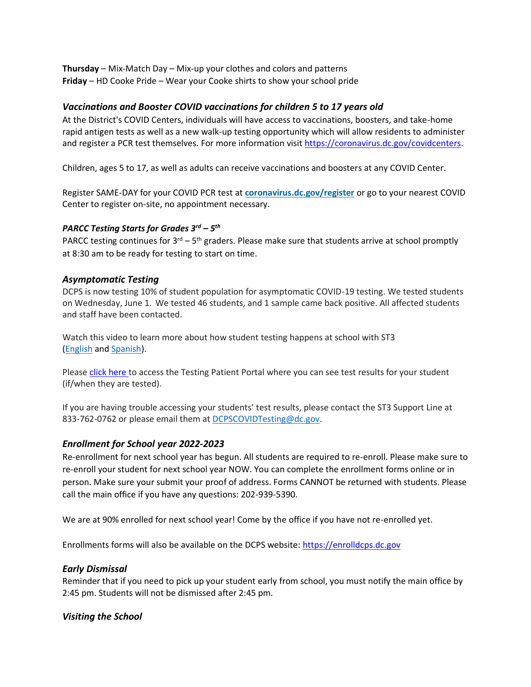**Thursday** – Mix-Match Day – Mix-up your clothes and colors and patterns **Friday** – HD Cooke Pride – Wear your Cooke shirts to show your school pride

# *Vaccinations and Booster COVID vaccinations for children 5 to 17 years old*

At the District's COVID Centers, individuals will have access to vaccinations, boosters, and take-home rapid antigen tests as well as a new walk-up testing opportunity which will allow residents to administer and register a PCR test themselves. For more information visit [https://coronavirus.dc.gov/covidcenters.](https://coronavirus.dc.gov/covidcenters)

Children, ages 5 to 17, as well as adults can receive vaccinations and boosters at any COVID Center.

Register SAME-DAY for your COVID PCR test at **[coronavirus.dc.gov/register](https://coronavirus.dc.gov/register)** or go to your nearest COVID Center to register on-site, no appointment necessary.

## *PARCC Testing Starts for Grades 3rd – 5 th*

PARCC testing continues for  $3^{rd} - 5^{th}$  graders. Please make sure that students arrive at school promptly at 8:30 am to be ready for testing to start on time.

# *Asymptomatic Testing*

DCPS is now testing 10% of student population for asymptomatic COVID-19 testing. We tested students on Wednesday, June 1. We tested 46 students, and 1 sample came back positive. All affected students and staff have been contacted.

Watch this video to learn more about how student testing happens at school with ST3 [\(English](https://urldefense.proofpoint.com/v2/url?u=https-3A__rise.articulate.com_share_-2Dq6MdIeo2V42boWuOGTu8i4-2DcT9E-5Fpjy-23_lessons_QicMYr-5FNcrCg54C5EtRyuC-2DwHJjQQVR2&d=DwMFAg&c=euGZstcaTDllvimEN8b7jXrwqOf-v5A_CdpgnVfiiMM&r=r7MsakikdNxOh-N_Ssj9mdJUMRjWvhYw18Eqx42UE40&m=-vbhK74dxdF3UGFM3KXX_Mk-PGWZWrPZHiFLh_rcYM0&s=470EC6i3UbApDRfaxDIuMzBPFqhzK2pNSc-krTjYzOw&e=) and [Spanish\)](https://urldefense.proofpoint.com/v2/url?u=https-3A__youtu.be_PRaXjkFlGGQ&d=DwMFAg&c=euGZstcaTDllvimEN8b7jXrwqOf-v5A_CdpgnVfiiMM&r=r7MsakikdNxOh-N_Ssj9mdJUMRjWvhYw18Eqx42UE40&m=-vbhK74dxdF3UGFM3KXX_Mk-PGWZWrPZHiFLh_rcYM0&s=yCXksETv2O2ZulcBl9cazNcOvmB9Inp-drZAlbuFkaw&e=).

Please click [here](https://shieldt3k12portal.pointnclick.com/login_login.aspx) to access the Testing Patient Portal where you can see test results for your student (if/when they are tested).

If you are having trouble accessing your students' test results, please contact the ST3 Support Line at 833-762-0762 or please email them at [DCPSCOVIDTesting@dc.gov.](mailto:DCPSCOVIDTesting@dc.gov)

# *Enrollment for School year 2022-2023*

Re-enrollment for next school year has begun. All students are required to re-enroll. Please make sure to re-enroll your student for next school year NOW. You can complete the enrollment forms online or in person. Make sure your submit your proof of address. Forms CANNOT be returned with students. Please call the main office if you have any questions: 202-939-5390.

We are at 90% enrolled for next school year! Come by the office if you have not re-enrolled yet.

Enrollments forms will also be available on the DCPS website: [https://enrolldcps.dc.gov](https://enrolldcps.dc.gov/)

# *Early Dismissal*

Reminder that if you need to pick up your student early from school, you must notify the main office by 2:45 pm. Students will not be dismissed after 2:45 pm.

# *Visiting the School*